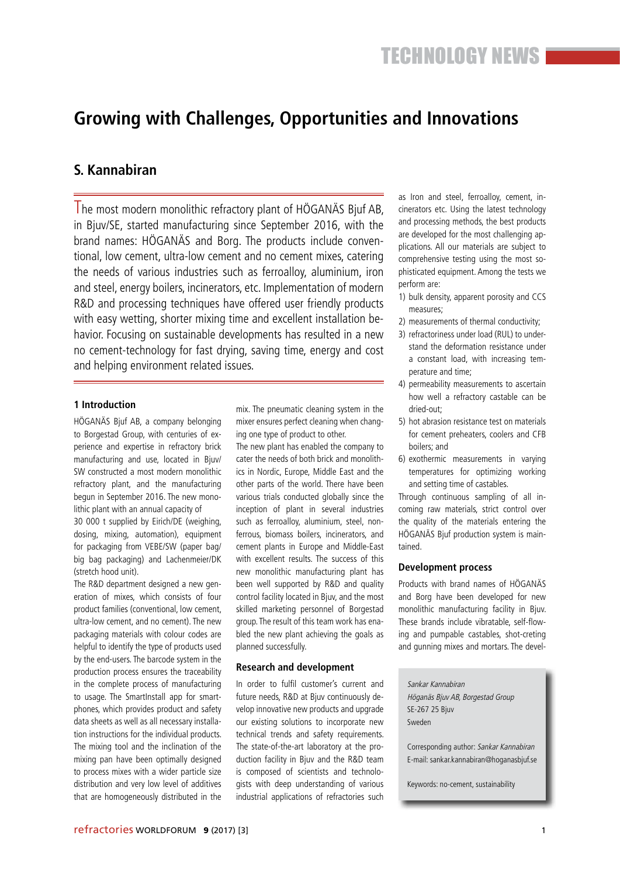## **Growing with Challenges, Opportunities and Innovations**

## **S. Kannabiran**

The most modern monolithic refractory plant of HÖGANÄS Bjuf AB, in Bjuv/SE, started manufacturing since September 2016, with the brand names: HÖGANÄS and Borg. The products include conventional, low cement, ultra-low cement and no cement mixes, catering the needs of various industries such as ferroalloy, aluminium, iron and steel, energy boilers, incinerators, etc. Implementation of modern R&D and processing techniques have offered user friendly products with easy wetting, shorter mixing time and excellent installation behavior. Focusing on sustainable developments has resulted in a new no cement-technology for fast drying, saving time, energy and cost and helping environment related issues.

### **1 Introduction**

HÖGANÄS Bjuf AB, a company belonging to Borgestad Group, with centuries of experience and expertise in refractory brick manufacturing and use, located in Bjuv/ SW constructed a most modern monolithic refractory plant, and the manufacturing begun in September 2016. The new monolithic plant with an annual capacity of

30 000 t supplied by Eirich/DE (weighing, dosing, mixing, automation), equipment for packaging from VEBE/SW (paper bag/ big bag packaging) and Lachenmeier/DK (stretch hood unit).

The R&D department designed a new generation of mixes, which consists of four product families (conventional, low cement, ultra-low cement, and no cement). The new packaging materials with colour codes are helpful to identify the type of products used by the end-users. The barcode system in the production process ensures the traceability in the complete process of manufacturing to usage. The SmartInstall app for smartphones, which provides product and safety data sheets as well as all necessary installation instructions for the individual products. The mixing tool and the inclination of the mixing pan have been optimally designed to process mixes with a wider particle size distribution and very low level of additives that are homogeneously distributed in the

mix. The pneumatic cleaning system in the mixer ensures perfect cleaning when changing one type of product to other.

The new plant has enabled the company to cater the needs of both brick and monolithics in Nordic, Europe, Middle East and the other parts of the world. There have been various trials conducted globally since the inception of plant in several industries such as ferroalloy, aluminium, steel, nonferrous, biomass boilers, incinerators, and cement plants in Europe and Middle-East with excellent results. The success of this new monolithic manufacturing plant has been well supported by R&D and quality control facility located in Bjuv, and the most skilled marketing personnel of Borgestad group. The result of this team work has enabled the new plant achieving the goals as planned successfully.

### **Research and development**

In order to fulfil customer's current and future needs, R&D at Bjuv continuously develop innovative new products and upgrade our existing solutions to incorporate new technical trends and safety requirements. The state-of-the-art laboratory at the production facility in Bjuv and the R&D team is composed of scientists and technologists with deep understanding of various industrial applications of refractories such as Iron and steel, ferroalloy, cement, incinerators etc. Using the latest technology and processing methods, the best products are developed for the most challenging applications. All our materials are subject to comprehensive testing using the most sophisticated equipment. Among the tests we perform are:

- 1) bulk density, apparent porosity and CCS measures;
- 2) measurements of thermal conductivity;
- 3) refractoriness under load (RUL) to understand the deformation resistance under a constant load, with increasing temperature and time;
- 4) permeability measurements to ascertain how well a refractory castable can be dried-out;
- 5) hot abrasion resistance test on materials for cement preheaters, coolers and CFB boilers; and
- 6) exothermic measurements in varying temperatures for optimizing working and setting time of castables.

Through continuous sampling of all incoming raw materials, strict control over the quality of the materials entering the HÖGANÄS Bjuf production system is maintained.

### **Development process**

Products with brand names of HÖGANÄS and Borg have been developed for new monolithic manufacturing facility in Bjuv. These brands include vibratable, self-flowing and pumpable castables, shot-creting and gunning mixes and mortars. The devel-

Sankar Kannabiran Höganäs Bjuv AB, Borgestad Group SE-267 25 Bjuv Sweden

Corresponding author: Sankar Kannabiran E-mail: sankar.kannabiran@hoganasbjuf.se

Keywords: no-cement, sustainability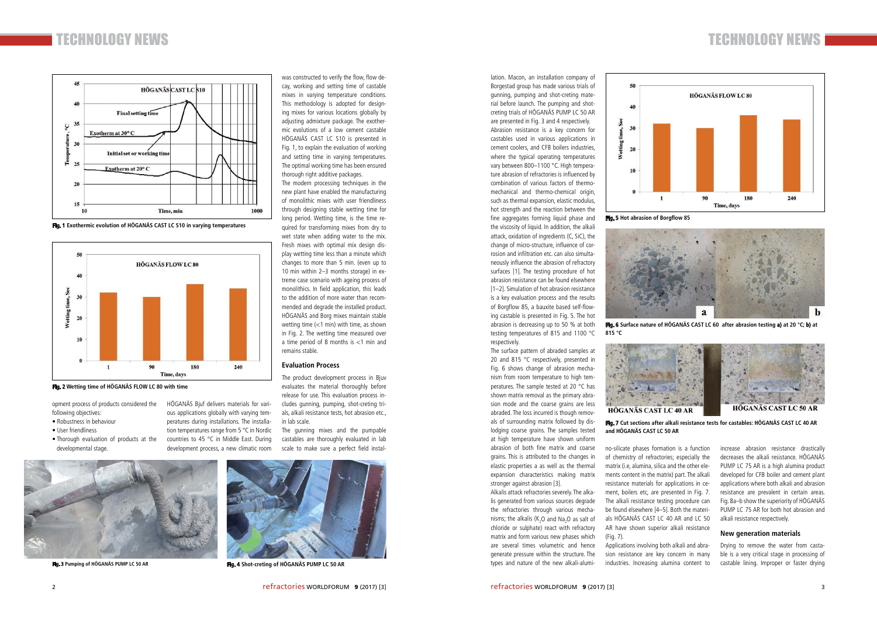

was constructed to verify the flow, flow decay, working and setting time of castable mixes in varying temperature conditions. This methodology is adopted for designing mixes for various locations globally by adjusting admixture package. The exothermic evolutions of a low cement castable HÖGANÄS CAST LC S10 is presented in Fig. 1, to explain the evaluation of working and setting time in varying temperatures. The optimal working time has been ensured thorough right additive packages.

The modern processing techniques in the new plant have enabled the manufacturing of monolithic mixes with user friendliness through designing stable wetting time for long period. Wetting time, is the time required for transforming mixes from dry to wet state when adding water to the mix. Fresh mixes with optimal mix design display wetting time less than a minute which changes to more than 5 min. (even up to 10 min within 2–3 months storage) in extreme case scenario with ageing process of monolithics. In field application, this leads to the addition of more water than recommended and degrade the installed product. HÖGANÄS and Borg mixes maintain stable wetting time (<1 min) with time, as shown in Fig. 2. The wetting time measured over a time period of 8 months is <1 min and remains stable.

### **Evaluation Process**

development process, a new climatic room scale to make sure a perfect field instal- and the mation of both fine matrix and coarse no-silicate phases formation is a function increase abrasion resistance drastically of chemistry of refractories; especially the matrix (i.e, alumina, silica and the other elements content in the matrix) part. The alkali resistance materials for applications in cement, boilers etc, are presented in Fig. 7. The alkali resistance testing procedure can be found elsewhere [4–5]. Both the materials HÖGANÄS CAST LC 40 AR and LC 50 AR have shown superior alkali resistance (Fig. 7).

The product development process in Bjuv evaluates the material thoroughly before release for use. This evaluation process includes gunning, pumping, shot-creting trials, alkali resistance tests, hot abrasion etc., in lab scale.

The gunning mixes and the pumpable castables are thoroughly evaluated in lab scale to make sure a perfect field instal-

HÖGANÄS Bjuf delivers materials for various applications globally with varying tem-

peratures during installations. The installation temperatures range from 5 °C in Nordic countries to 45 °C in Middle East. During

decreases the alkali resistance. HÖGANÄS PUMP LC 75 AR is a high alumina product developed for CFB boiler and cement plant applications where both alkali and abrasion resistance are prevalent in certain areas. Fig. 8a–b show the superiority of HÖGANÄS PUMP LC 75 AR for both hot abrasion and alkali resistance respectively.

#### **New generation materials**

Drying to remove the water from castable is a very critical stage in processing of castable lining. Improper or faster drying

Applications involving both alkali and abrasion resistance are key concern in many industries. Increasing alumina content to

lation. Macon, an installation company of Borgestad group has made various trials of gunning, pumping and shot-creting material before launch. The pumping and shotcreting trials of HÖGANÄS PUMP LC 50 AR are presented in Fig. 3 and 4 respectively. Abrasion resistance is a key concern for castables used in various applications in cement coolers, and CFB boilers industries, where the typical operating temperatures vary between 800–1100 °C. High temperature abrasion of refractories is influenced by combination of various factors of thermomechanical and thermo-chemical origin, such as thermal expansion, elastic modulus, hot strength and the reaction between the fine aggregates forming liquid phase and the viscosity of liquid. In addition, the alkali attack, oxidation of ingredients (C, SiC), the change of micro-structure, influence of cor-

rosion and infiltration etc. can also simultaneously influence the abrasion of refractory surfaces [1]. The testing procedure of hot abrasion resistance can be found elsewhere [1–2]. Simulation of hot abrasion resistance is a key evaluation process and the results of Borgflow 85, a bauxite based self-flowing castable is presented in Fig. 5. The hot abrasion is decreasing up to 50 % at both testing temperatures of 815 and 1100 °C respectively.

The surface pattern of abraded samples at 20 and 815 °C respectively, presented in Fig. 6 shows change of abrasion mechanism from room temperature to high temperatures. The sample tested at 20 °C has shown matrix removal as the primary abrasion mode and the coarse grains are less abraded. The loss incurred is though removals of surrounding matrix followed by dislodging coarse grains. The samples tested at high temperature have shown uniform abrasion of both fine matrix and coarse grains. This is attributed to the changes in elastic properties a as well as the thermal expansion characteristics making matrix stronger against abrasion [3].

Alkalis attack refractories severely. The alkalis generated from various sources degrade the refractories through various mechanisms; the alkalis  $(K_2O$  and  $Na_2O$  as salt of chloride or sulphate) react with refractory matrix and form various new phases which are several times volumetric and hence generate pressure within the structure. The types and nature of the new alkali-alumi-



opment process of products considered the following objectives:

- Robustness in behaviour
- User friendliness
- Thorough evaluation of products at the developmental stage.



**Fig. 1 Exothermic evolution of HÖGANÄS CAST LC S10 in varying temperatures**



**Fig. 3 Pumping of HÖGANÄS PUMP LC 50 AR** 

**Fig. 2 Wetting time of HÖGANÄS FLOW LC 80 with time**



**Fig. 4 Shot-creting of HÖGANÄS PUMP LC 50 AR** 



**Fig. 6 Surface nature of HÖGANÄS CAST LC 60 after abrasion testing a) at 20 °C; b) at** 



**815 °C**

# **Fig. 7 Cut sections after alkali resistance tests for castables: HÖGANÄS CAST LC 40 AR**



**and HÖGANÄS CAST LC 50 AR**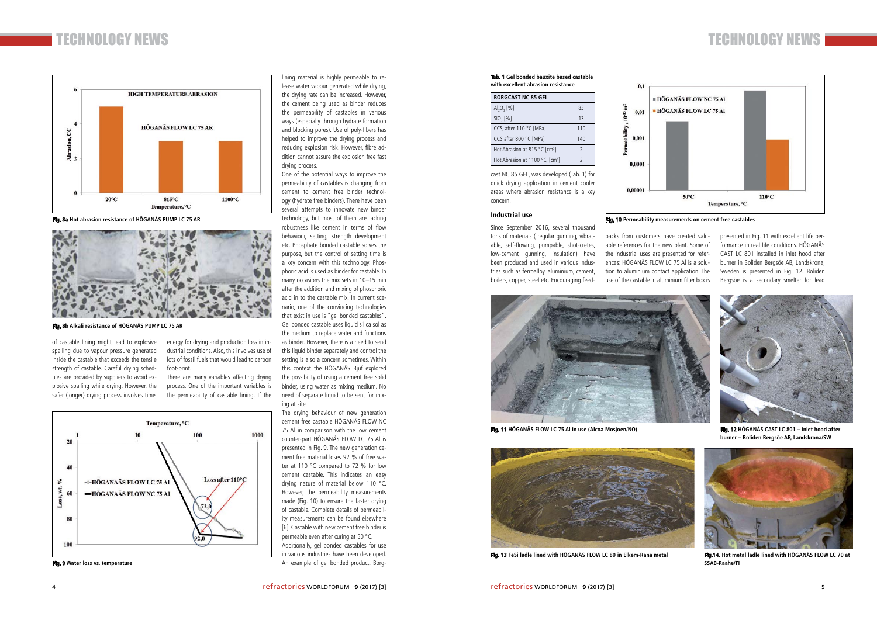

**Fig. 8a Hot abrasion resistance of HÖGANÄS PUMP LC 75 AR Fig. 10 Permeability measurements on cement free castables** 



presented in Fig. 11 with excellent life performance in real life conditions. HÖGANÄS CAST LC 801 installed in inlet hood after burner in Boliden Bergsöe AB, Landskrona, Sweden is presented in Fig. 12. Boliden Bergsöe is a secondary smelter for lead

backs from customers have created valuable references for the new plant. Some of the industrial uses are presented for references: HÖGANÄS FLOW LC 75 Al is a solution to aluminium contact application. The use of the castable in aluminium filter box is

 $0.1$ 

 $0<sub>0</sub>$ 

 $0,001$ 

 $0.000$ 

 $0,00001$ 

 $10^{-13}$  m<sup>2</sup>

cast NC 85 GEL, was developed (Tab. 1) for quick drying application in cement cooler areas where abrasion resistance is a key concern.

### **Industrial use**

Since September 2016, several thousand tons of materials ( regular gunning, vibratable, self-flowing, pumpable, shot-cretes, low-cement gunning, insulation) have been produced and used in various industries such as ferroalloy, aluminium, cement, boilers, copper, steel etc. Encouraging feed-

lining material is highly permeable to release water vapour generated while drying, the drying rate can be increased. However, the cement being used as binder reduces the permeability of castables in various ways (especially through hydrate formation and blocking pores). Use of poly-fibers has helped to improve the drying process and reducing explosion risk. However, fibre addition cannot assure the explosion free fast drying process.

One of the potential ways to improve the permeability of castables is changing from cement to cement free binder technology (hydrate free binders). There have been several attempts to innovate new binder technology, but most of them are lacking robustness like cement in terms of flow behaviour, setting, strength development etc. Phosphate bonded castable solves the purpose, but the control of setting time is a key concern with this technology. Phosphoric acid is used as binder for castable. In many occasions the mix sets in 10–15 min after the addition and mixing of phosphoric acid in to the castable mix. In current scenario, one of the convincing technologies that exist in use is "gel bonded castables". Gel bonded castable uses liquid silica sol as the medium to replace water and functions as binder. However, there is a need to send this liquid binder separately and control the setting is also a concern sometimes. Within this context the HÖGANÄS Bjuf explored the possibility of using a cement free solid binder, using water as mixing medium. No need of separate liquid to be sent for mixing at site.

The drying behaviour of new generation cement free castable HÖGANÄS FLOW NC 75 Al in comparison with the low cement counter-part HÖGANÄS FLOW LC 75 Al is presented in Fig. 9. The new generation cement free material loses 92 % of free water at 110 °C compared to 72 % for low cement castable. This indicates an easy drying nature of material below 110 °C. However, the permeability measurements made (Fig. 10) to ensure the faster drying of castable. Complete details of permeability measurements can be found elsewhere [6]. Castable with new cement free binder is permeable even after curing at 50 °C. Additionally, gel bonded castables for use in various industries have been developed. An example of gel bonded product, Borg-

energy for drying and production loss in industrial conditions. Also, this involves use of lots of fossil fuels that would lead to carbon foot-print.

There are many variables affecting drying process. One of the important variables is the permeability of castable lining. If the

of castable lining might lead to explosive spalling due to vapour pressure generated inside the castable that exceeds the tensile strength of castable. Careful drying schedules are provided by suppliers to avoid explosive spalling while drying. However, the safer (longer) drying process involves time,



**Fig. 9 Water loss vs. temperature** 



**Fig. 8b Alkali resistance of HÖGANÄS PUMP LC 75 AR** 

**Tab. 1 Gel bonded bauxite based castable with excellent abrasion resistance**

| <b>BORGCAST NC 85 GEL</b>                   |               |
|---------------------------------------------|---------------|
| $AI_{2}O_{3}$ [%]                           | 83            |
| SiO, [%]                                    | 13            |
| CCS. after 110 °C [MPa]                     | 110           |
| CCS after 800 °C [MPa]                      | 140           |
| Hot Abrasion at 815 °C [cm <sup>3</sup> ]   | $\mathcal{P}$ |
| Hot Abrasion at 1100 °C, [cm <sup>3</sup> ] | 2             |



**Fig. 11 HÖGANÄS FLOW LC 75 Al in use (Alcoa Mosjoen/NO) Fig. 12 HÖGANÄS CAST LC 801 – inlet hood after** 





**burner – Boliden Bergsöe AB, Landskrona/SW**



**Fig. 13 FeSi ladle lined with HÖGANÄS FLOW LC 80 in Elkem-Rana metal Fig.14. Hot metal ladle lined with HÖGANÄS FLOW LC 70 at SSAB-Raahe/FI**